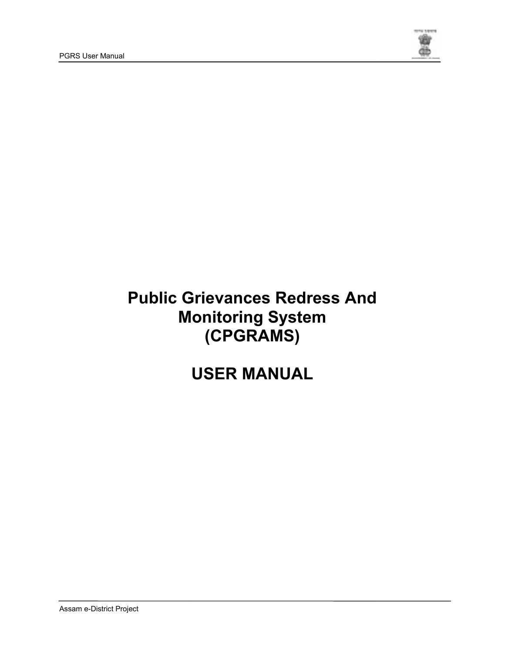

## **Public Grievances Redress And Monitoring System (CPGRAMS)**

# **USER MANUAL**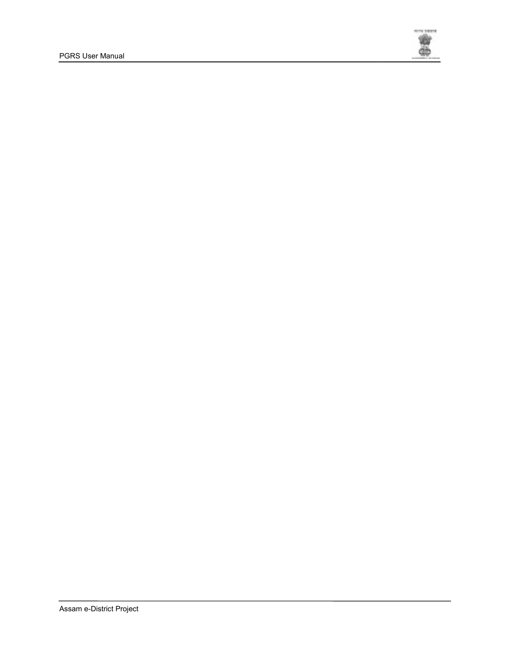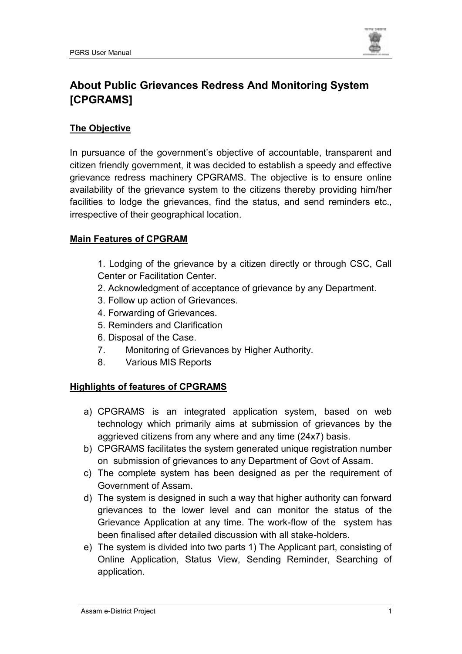

## **About Public Grievances Redress And Monitoring System [CPGRAMS]**

## **The Objective**

In pursuance of the government's objective of accountable, transparent and citizen friendly government, it was decided to establish a speedy and effective grievance redress machinery CPGRAMS. The objective is to ensure online availability of the grievance system to the citizens thereby providing him/her facilities to lodge the grievances, find the status, and send reminders etc., irrespective of their geographical location.

### **Main Features of CPGRAM**

1. Lodging of the grievance by a citizen directly or through CSC, Call Center or Facilitation Center.

- 2. Acknowledgment of acceptance of grievance by any Department.
- 3. Follow up action of Grievances.
- 4. Forwarding of Grievances.
- 5. Reminders and Clarification
- 6. Disposal of the Case.
- 7. Monitoring of Grievances by Higher Authority.
- 8. Various MIS Reports

## **Highlights of features of CPGRAMS**

- a) CPGRAMS is an integrated application system, based on web technology which primarily aims at submission of grievances by the aggrieved citizens from any where and any time (24x7) basis.
- b) CPGRAMS facilitates the system generated unique registration number on submission of grievances to any Department of Govt of Assam.
- c) The complete system has been designed as per the requirement of Government of Assam.
- d) The system is designed in such a way that higher authority can forward grievances to the lower level and can monitor the status of the Grievance Application at any time. The work-flow of the system has been finalised after detailed discussion with all stake-holders.
- e) The system is divided into two parts 1) The Applicant part, consisting of Online Application, Status View, Sending Reminder, Searching of application.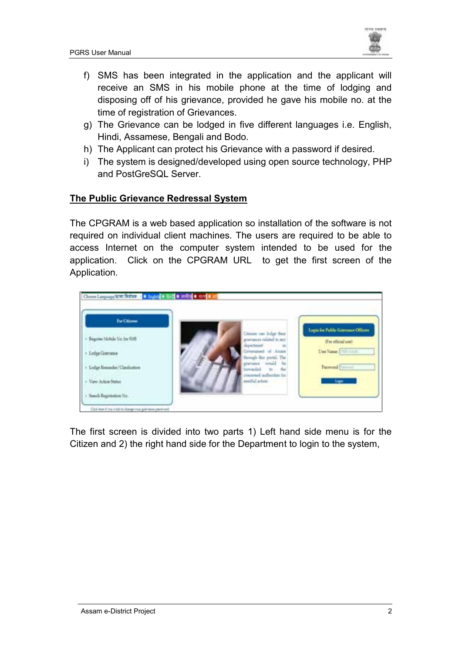

- f) SMS has been integrated in the application and the applicant will receive an SMS in his mobile phone at the time of lodging and disposing off of his grievance, provided he gave his mobile no. at the time of registration of Grievances.
- g) The Grievance can be lodged in five different languages i.e. English, Hindi, Assamese, Bengali and Bodo.
- h) The Applicant can protect his Grievance with a password if desired.
- i) The system is designed/developed using open source technology, PHP and PostGreSQL Server.

#### **The Public Grievance Redressal System**

The CPGRAM is a web based application so installation of the software is not required on individual client machines. The users are required to be able to access Internet on the computer system intended to be used for the application. Click on the CPGRAM URL to get the first screen of the Application.



The first screen is divided into two parts 1) Left hand side menu is for the Citizen and 2) the right hand side for the Department to login to the system,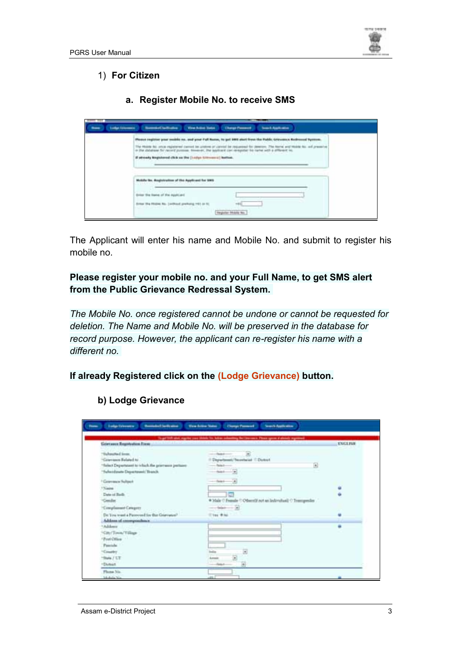

#### 1) **For Citizen**

#### **a. Register Mobile No. to receive SMS**



The Applicant will enter his name and Mobile No. and submit to register his mobile no.

**Please register your mobile no. and your Full Name, to get SMS alert from the Public Grievance Redressal System.**

*The Mobile No. once registered cannot be undone or cannot be requested for deletion. The Name and Mobile No. will be preserved in the database for record purpose. However, the applicant can re-register his name with a different no.*

**If already Registered click on the (Lodge Grievance) button.**

|                                                    | To priMit state against your shirts his below infiniting be therein Piece speer if sheets against |                |
|----------------------------------------------------|---------------------------------------------------------------------------------------------------|----------------|
| <b>Governore Registration Form:</b>                |                                                                                                   | <b>ENGLISH</b> |
| <b>Subauma Element</b>                             | B<br>controlled and the                                                                           |                |
| Citavanos Related to                               | Chryschnell/Sountwist C District                                                                  |                |
| false) Department to islach for print was perhaps: | ü<br>- Belgi -                                                                                    |                |
| Tullacidenate Department/Tiranch.                  | $A=1$                                                                                             |                |
| Greyway Subject                                    | -18<br>$- - 0$ pig $+$                                                                            |                |
| 13Gaine                                            |                                                                                                   | ٠              |
| Date of Both                                       | ۱a                                                                                                |                |
| Could                                              | * Male @ Frenule @ Others(if not an Individual) @ Treespeaker                                     |                |
| 'Complainment Cataguty                             | $\cdots \rightarrow \text{block} \cdots \rightarrow \text{rel}$                                   |                |
| De You want a Patroved for this Graywoo?           | They Mike                                                                                         |                |
| Address of consequents and contract of             |                                                                                                   |                |
| Address                                            |                                                                                                   |                |
| City/Town/Village                                  |                                                                                                   |                |
| <sup>2</sup> Pont Officer                          |                                                                                                   |                |
| <b>Patenthe</b>                                    |                                                                                                   |                |
| Country.                                           | $\overline{\phantom{a}}$<br><b>India</b>                                                          |                |
| Hain / LT                                          | 51<br>Armed                                                                                       |                |
|                                                    |                                                                                                   |                |

**b) Lodge Grievance**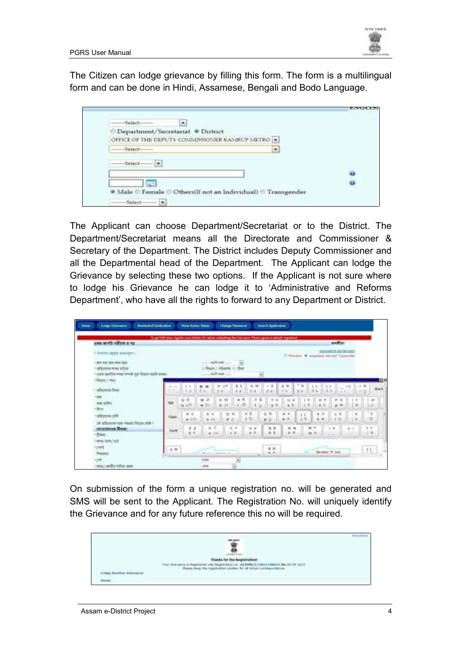

The Citizen can lodge grievance by filling this form. The form is a multilingual form and can be done in Hindi, Assamese, Bengali and Bodo Language.

| Katach                                                      |  |
|-------------------------------------------------------------|--|
| Department/Secretariat # District                           |  |
| OFFICE OF THE DEPUTY COMMISSIONER KAMBUP METRO              |  |
| Salact.<br>×                                                |  |
| ×                                                           |  |
|                                                             |  |
| 13191<br><b>SAN BELLEVILLE AND STREET AND REAL PROPERTY</b> |  |
| Male C Female C Others(If not an Individual) C Transgender  |  |

The Applicant can choose Department/Secretariat or to the District. The Department/Secretariat means all the Directorate and Commissioner & Secretary of the Department. The District includes Deputy Commissioner and all the Departmental head of the Department. The Applicant can lodge the Grievance by selecting these two options. If the Applicant is not sure where to lodge his Grievance he can lodge it to 'Administrative and Reforms Department', who have all the rights to forward to any Department or District.

| awa sevita villosa n.ms.<br>- more says money of<br>99 PE 2014 0 DX   |                 |                  |                   | HST 000 ---                  | a.                |            |                          |                    |          |              |                |                               | avelhot<br><b>NAN AMERICA BENNAMES</b><br>IT Marello, W. Asservant Storrell Topbooker |                 |              |
|-----------------------------------------------------------------------|-----------------|------------------|-------------------|------------------------------|-------------------|------------|--------------------------|--------------------|----------|--------------|----------------|-------------------------------|---------------------------------------------------------------------------------------|-----------------|--------------|
| afazona was stire.<br>- ante media erai stredingo finare exclusions . |                 |                  |                   | : Stare / villance : 1 floor |                   |            |                          |                    |          |              |                |                               |                                                                                       |                 |              |
| Thank / Help<br>adigements                                            | <b>Birthday</b> | 1.1              | ۰<br>2.1          | 28<br>$\sigma$<br>×          |                   |            |                          |                    | ×<br>3.9 | $\mathbb{R}$ | 川本<br>×        |                               | 22                                                                                    | $+ 70$<br>1.600 |              |
| es.<br>.<br>tra utiley<br>lin m                                       |                 | $0 - 1$<br>8.207 | ۰<br>m            | ٠                            | m<br>$\mathbb{R}$ | 38,000     | 类<br>÷<br>u<br>×<br>用    | ü                  |          |              | o<br>×         |                               |                                                                                       |                 | 10           |
| the annuals<br>I who exam down you were also to                       | Cape            | 未 (8)<br>4.417   | 3.16<br>8.12      | $13 -$<br>٠                  | ×<br>重<br>÷       | 4.7        | n<br>q,<br>×<br>Q        | m<br>ĸ<br>$\equiv$ |          |              | 東西<br>4.4      | $\frac{1}{2}$<br>$\mathbf{r}$ | $\equiv$                                                                              | 11.49           | $^+$ h<br>计系 |
| оператия Вмат.<br>(four)<br>www.haut.com                              | three.          | $Z$ $Z$<br>まさ    | エロ<br>$\mathbf x$ | c                            | 6.8               | V.V<br>V.R | 8.8<br>٠<br>$\mathbf{u}$ | <b>N. N.</b><br>出所 |          | w<br>$m-1$   | $\blacksquare$ | $-1.8$<br>m                   | ×<br>53.00                                                                            |                 | ΤЛ<br>7.8    |

On submission of the form a unique registration no. will be generated and SMS will be sent to the Applicant. The Registration No. will uniquely identify the Grievance and for any future reference this no will be required.

| ca il Republikat vola Republikan no. AGABM/L/1981A/MW14 On 19-00-2013<br>Politic beny the registration number for all foliote currences dance. |  |
|------------------------------------------------------------------------------------------------------------------------------------------------|--|
| a seri de la constitución de la constitución de la constitución de la constitución de la constitución de la co                                 |  |
|                                                                                                                                                |  |
|                                                                                                                                                |  |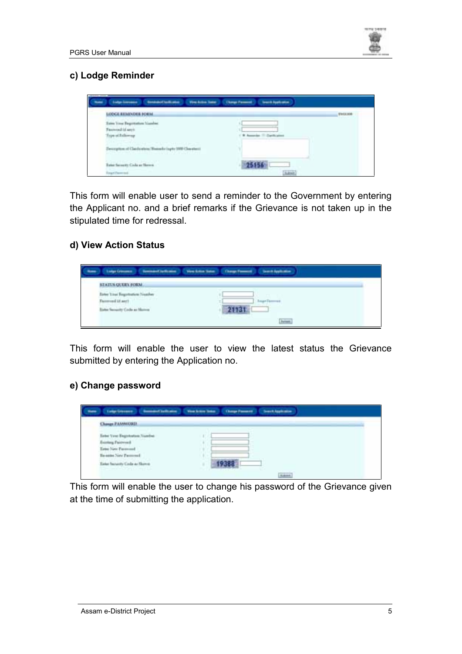

#### **c) Lodge Reminder**

| LODGE REMINDER FORM                                                                                                                                                                                                                                                                       | <b>STANDARDS</b>               |
|-------------------------------------------------------------------------------------------------------------------------------------------------------------------------------------------------------------------------------------------------------------------------------------------|--------------------------------|
| Eaten Your Bagottatum Viamber<br>Fascivityd (of arct)<br>To part of Following<br>Control model to the second term in                                                                                                                                                                      | W Associate 11 Shariffications |
| of Chedenton: Tomado inpin 1955 Charater<br>Description<br>HOT THE REPORT OF THE REPORT OF THE REPORT OF THE REPORT OF THE REPORT OF THE REPORT OF THE REPORT OF THE REPORT OF THE REPORT OF THE REPORT OF THE REPORT OF THE REPORT OF THE REPORT OF THE REPORT OF THE REPORT OF THE REPO |                                |
| The Paris of the Contract and Contract of the Contract of<br>Eater Security Code or Homes                                                                                                                                                                                                 |                                |
| Impt Termindi                                                                                                                                                                                                                                                                             | <b>Submit</b>                  |

This form will enable user to send a reminder to the Government by entering the Applicant no. and a brief remarks if the Grievance is not taken up in the stipulated time for redressal.

#### **d) View Action Status**



This form will enable the user to view the latest status the Grievance submitted by entering the Application no.

#### **e) Change password**



This form will enable the user to change his password of the Grievance given at the time of submitting the application.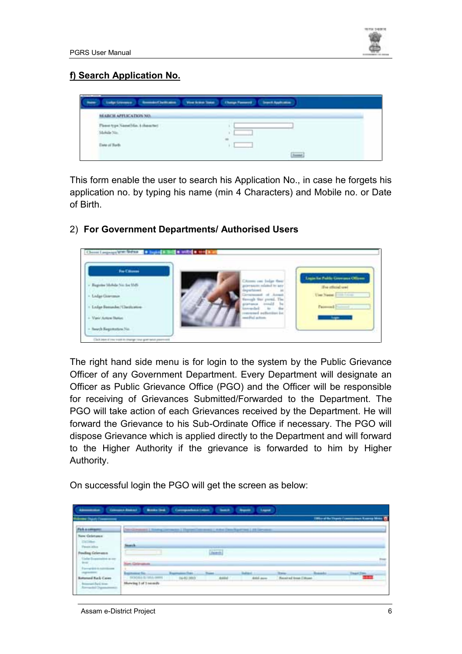## **f) Search Application No.**

|                                                                               | Luty Given:   Bennis Cluthama   Vivi Scholaris   [Chang Formed]   David Aphonix |
|-------------------------------------------------------------------------------|---------------------------------------------------------------------------------|
| MARCH APPLICATION NO.                                                         |                                                                                 |
| Please type Name(Mo. 4 shawnes)<br>and the property of the con-<br>Mobile No. |                                                                                 |
| Date of Burth                                                                 | control of the                                                                  |

This form enable the user to search his Application No., in case he forgets his application no. by typing his name (min 4 Characters) and Mobile no. or Date of Birth.



#### 2) **For Government Departments/ Authorised Users**

The right hand side menu is for login to the system by the Public Grievance Officer of any Government Department. Every Department will designate an Officer as Public Grievance Office (PGO) and the Officer will be responsible for receiving of Grievances Submitted/Forwarded to the Department. The PGO will take action of each Grievances received by the Department. He will forward the Grievance to his Sub-Ordinate Office if necessary. The PGO will dispose Grievance which is applied directly to the Department and will forward to the Higher Authority if the grievance is forwarded to him by Higher Authority.

On successful login the PGO will get the screen as below:

| <b>Televine Digital Community</b>                                                                         |                                                                                  |                      |                         |         |                                        | <b>Citizen of the Uniques Commissions Reserve Interior (S)</b> |                    |             |
|-----------------------------------------------------------------------------------------------------------|----------------------------------------------------------------------------------|----------------------|-------------------------|---------|----------------------------------------|----------------------------------------------------------------|--------------------|-------------|
| <b>Fish a company</b>                                                                                     | No climated   Samu incomes   Darrent america   Adol (Machinettes)   22 (archive) |                      |                         |         |                                        |                                                                |                    |             |
| <b>Sew Gristawa</b><br>million.<br>Thirank Allison<br>Fonding Grievance<br><b>LELLING</b><br><b>Brust</b> | <b>Statute Ch.</b><br>Colenshow                                                  |                      | <b>June</b>             |         |                                        |                                                                |                    | <b>Free</b> |
| on Fard, Imag-                                                                                            | Individuals in contain interest<br>Muncing 1 of 1 necessity                      | $-$ Final<br>1602203 | <b>Brigad</b><br>delaid | Add Ave | <b>Barnet</b><br>Received from Citizen |                                                                | <b>Taxant Dark</b> |             |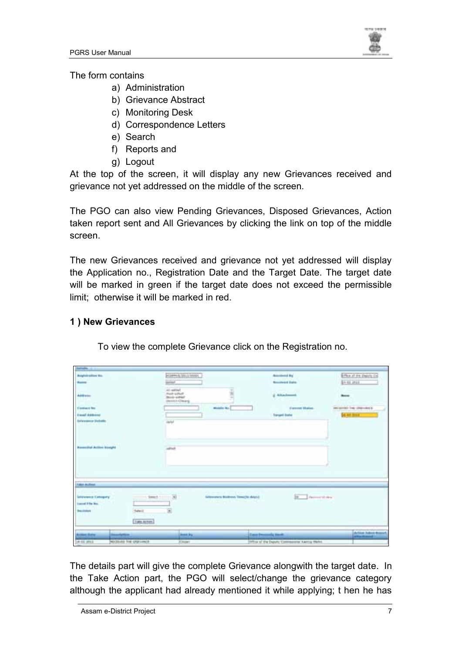

The form contains

- a) Administration
- b) Grievance Abstract
- c) Monitoring Desk
- d) Correspondence Letters
- e) Search
- f) Reports and
- g) Logout

At the top of the screen, it will display any new Grievances received and grievance not yet addressed on the middle of the screen.

The PGO can also view Pending Grievances, Disposed Grievances, Action taken report sent and All Grievances by clicking the link on top of the middle screen.

The new Grievances received and grievance not yet addressed will display the Application no., Registration Date and the Target Date. The target date will be marked in green if the target date does not exceed the permissible limit; otherwise it will be marked in red.

## **1 ) New Grievances**

To view the complete Grievance click on the Registration no.

| <b>Anglobalizer</b> No.<br><b>Burney</b>                                                                         | ECOPPER TRULINORS<br><b>Service</b>                                                                    | <b>Bounded</b> By<br><b>Booklead Eats</b> | Effice of the Deputy City<br><b>SH-RE 2933</b> |
|------------------------------------------------------------------------------------------------------------------|--------------------------------------------------------------------------------------------------------|-------------------------------------------|------------------------------------------------|
| dubb www.<br>.                                                                                                   | At willing?<br>Portrachaff<br><b>Birth-kithki</b><br>Division Chicago                                  | المستقرع                                  | er in<br><b>Bene</b>                           |
| <b>Toronto No.</b>                                                                                               | main to                                                                                                | Carross Marine.<br><b>GALLA</b> TIN       | any particle Test computer's                   |
| <b>Equal Address</b><br><b>Enforcement Details</b>                                                               | aris                                                                                                   | <b>Transport Strategy</b>                 | <b>DE-445 BRIDE</b>                            |
| <b>Bangalist Artist busykt</b>                                                                                   | about                                                                                                  |                                           |                                                |
|                                                                                                                  |                                                                                                        |                                           |                                                |
|                                                                                                                  |                                                                                                        |                                           |                                                |
|                                                                                                                  |                                                                                                        |                                           |                                                |
|                                                                                                                  | the control of the control of the<br>$-$ fourth $ \overline{A}$<br>Sillevators Biofress Toni(3) degs ( | m<br>Thermore in the                      |                                                |
| <b><i><u>Stake Authors</u></i></b><br>Government Category)<br>$-111$<br>Local Ella Av.<br>.<br><b>Deachstorn</b> | <b>AND A LOW WAS STRAINED.</b><br>Saleid                                                               |                                           |                                                |
|                                                                                                                  | 诺<br>Take Armor                                                                                        |                                           |                                                |

The details part will give the complete Grievance alongwith the target date. In the Take Action part, the PGO will select/change the grievance category although the applicant had already mentioned it while applying; t hen he has

Assam e-District Project 7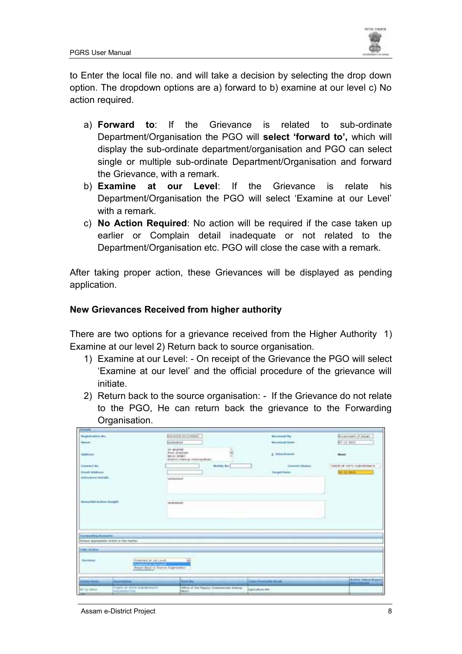

to Enter the local file no. and will take a decision by selecting the drop down option. The dropdown options are a) forward to b) examine at our level c) No action required.

- a) **Forward to**: If the Grievance is related to sub-ordinate Department/Organisation the PGO will **select 'forward to',** which will display the sub-ordinate department/organisation and PGO can select single or multiple sub-ordinate Department/Organisation and forward the Grievance, with a remark.
- b) **Examine at our Level**: If the Grievance is relate his Department/Organisation the PGO will select 'Examine at our Level' with a remark.
- c) **No Action Required**: No action will be required if the case taken up earlier or Complain detail inadequate or not related to the Department/Organisation etc. PGO will close the case with a remark.

After taking proper action, these Grievances will be displayed as pending application.

#### **New Grievances Received from higher authority**

There are two options for a grievance received from the Higher Authority 1) Examine at our level 2) Return back to source organisation.

- 1) Examine at our Level: On receipt of the Grievance the PGO will select 'Examine at our level' and the official procedure of the grievance will initiate.
- 2) Return back to the source organisation: If the Grievance do not relate to the PGO, He can return back the grievance to the Forwarding Organisation.

|                                                                                                                                    |                                                                                             | <b>Baratout Fy</b>      |                                   |
|------------------------------------------------------------------------------------------------------------------------------------|---------------------------------------------------------------------------------------------|-------------------------|-----------------------------------|
| <b>Registration to:</b>                                                                                                            | <b>REPART PLU 99961.</b>                                                                    |                         | Elizabeth of Assays               |
| <b>Bank</b>                                                                                                                        | <b>Bertambusi</b>                                                                           | <b>Baratout Eats</b>    | <b>BY 12 1911</b>                 |
| <b>BARBASE</b>                                                                                                                     | an anjungi.<br>Road - Arlandale<br>Mich-3FAF<br>Statistic Agency (that racellant)           | I howhomed              | <b>House</b>                      |
| <b>Designed Box</b>                                                                                                                | <b>Womber Real</b>                                                                          | <b>Element Market</b>   | Tuesday of district concentration |
| Expedit de Addresse                                                                                                                |                                                                                             | <b>Turned Bake</b>      | be of your                        |
| <b>Drivework Databa</b>                                                                                                            | Andrew County                                                                               |                         |                                   |
|                                                                                                                                    | <b>School</b>                                                                               |                         |                                   |
|                                                                                                                                    |                                                                                             |                         |                                   |
|                                                                                                                                    |                                                                                             |                         |                                   |
| <b>Remodel Action Inequire</b><br><b>Larrage Hits Associate</b><br>Almunt appropriate action in the metter.<br><b>Enter Action</b> |                                                                                             |                         |                                   |
| <b>Gardens</b>                                                                                                                     | œ<br><b>Insurance of the Level</b><br><b>Street of Jud</b><br>Amerikan in Sterie Ingenieur. |                         |                                   |
| <b>Active forts</b><br><b><i><u>Senatoriums</u></i></b>                                                                            | <b>Bond Bu</b>                                                                              | Come drawing the track. | <b>Action Televidence</b><br>---  |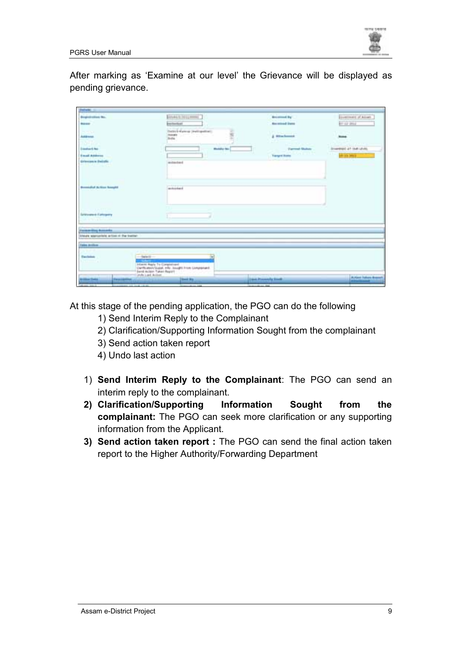

After marking as 'Examine at our level' the Grievance will be displayed as pending grievance.

| <b>Angeleziaton Ro.</b>                                                                                                                     | <b>BINANT RELEASED</b>                                                                  | <b>Brookley</b> Ry                     | Electricate of Atlanta     |
|---------------------------------------------------------------------------------------------------------------------------------------------|-----------------------------------------------------------------------------------------|----------------------------------------|----------------------------|
| <b>Bank</b>                                                                                                                                 | <b>Breitheile</b> nt                                                                    | <b>Koramud Inno</b>                    | BF-12 25td                 |
| <b>MATTER</b>                                                                                                                               | products.<br>Detro's Kalenda (Institupation).                                           | $\sim$                                 | - 7                        |
| <b>Address</b>                                                                                                                              | <b>Assets</b><br><b>Brother</b>                                                         | J. Windowsk                            | <b>Note</b>                |
| <b>BATA</b>                                                                                                                                 |                                                                                         |                                        |                            |
| Date from No.                                                                                                                               | Monday No.                                                                              | <b><i>Digmond Shakes</i></b>           | <b>Insertal at induned</b> |
| <b>Equal Address</b>                                                                                                                        |                                                                                         | <b>ALC: 179</b><br><b>Target Balls</b> | <b><i>COMMAND</i></b>      |
| Grievanie Belizie<br>$-2$                                                                                                                   | andskeband                                                                              |                                        | <b>STATISTICS</b>          |
|                                                                                                                                             |                                                                                         |                                        |                            |
|                                                                                                                                             |                                                                                         |                                        |                            |
|                                                                                                                                             | minimid                                                                                 |                                        |                            |
|                                                                                                                                             |                                                                                         |                                        |                            |
|                                                                                                                                             |                                                                                         |                                        |                            |
|                                                                                                                                             |                                                                                         |                                        |                            |
|                                                                                                                                             |                                                                                         |                                        |                            |
| <b>DAMILTON</b>                                                                                                                             |                                                                                         |                                        |                            |
| Lat. An Wright Service 1970.                                                                                                                |                                                                                         |                                        |                            |
|                                                                                                                                             |                                                                                         |                                        |                            |
|                                                                                                                                             |                                                                                         |                                        |                            |
| <b>Recentled Action Insurant</b><br><b>Settivated Earnery</b><br><b>Excess Articles Association</b><br>Shews standards artist in the batter |                                                                                         |                                        |                            |
| <b>Easter Availant</b>                                                                                                                      |                                                                                         |                                        |                            |
| $89 - 28$                                                                                                                                   |                                                                                         |                                        |                            |
| <b>Caroladore</b>                                                                                                                           | $-3$ and $-1$                                                                           |                                        |                            |
| <b>SIMPLE</b>                                                                                                                               | Intenti-Reply To Completions                                                            |                                        |                            |
|                                                                                                                                             | CarRusseVSuppl, His Sought From Congressed.<br>bend actor-Taker-Regist<br>indulari Adom |                                        |                            |

At this stage of the pending application, the PGO can do the following

- 1) Send Interim Reply to the Complainant
- 2) Clarification/Supporting Information Sought from the complainant
- 3) Send action taken report
- 4) Undo last action
- 1) **Send Interim Reply to the Complainant**: The PGO can send an interim reply to the complainant.
- **2) Clarification/Supporting Information Sought from the complainant:** The PGO can seek more clarification or any supporting information from the Applicant.
- **3) Send action taken report :** The PGO can send the final action taken report to the Higher Authority/Forwarding Department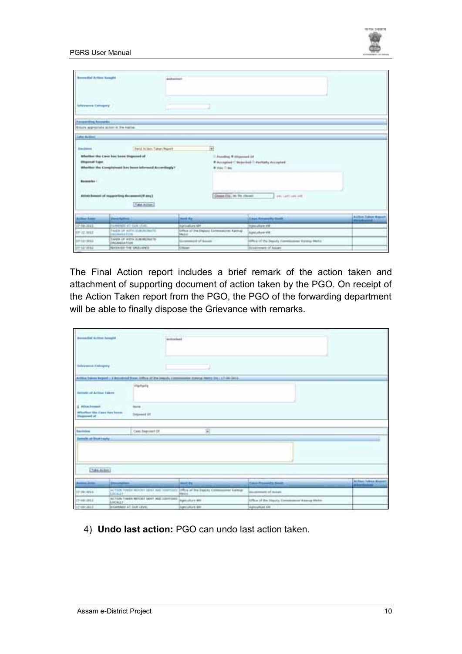

| <b>Investigated Artists Auroralist</b>                                      |                                                                                                      | dellated:                                         |                                                                          |                                                |
|-----------------------------------------------------------------------------|------------------------------------------------------------------------------------------------------|---------------------------------------------------|--------------------------------------------------------------------------|------------------------------------------------|
| <b>CENTRAL PHONES</b><br>Saturanova: Cathodoxy<br>Devilenci Dismont Art all |                                                                                                      |                                                   |                                                                          |                                                |
| <b>Forested America</b>                                                     | Broom appropriate action is the needed                                                               |                                                   |                                                                          |                                                |
|                                                                             |                                                                                                      |                                                   |                                                                          |                                                |
| <b>Cates du Gred</b>                                                        |                                                                                                      |                                                   |                                                                          |                                                |
| <b>Standards</b>                                                            | <b>Band Action Taken Report</b>                                                                      | 固                                                 |                                                                          |                                                |
| <b>Blogonal Type:</b>                                                       | Whether the Case has been linguous of<br>Whether the Completeent has been fellowed Accordingly?      | Writes (Tree)                                     | 11 Ponding # Oliganead 14<br># Accepted C Bejerikel C Hertially Accepted |                                                |
| <b>ANTICKY</b><br><b>Beautiful</b>                                          |                                                                                                      |                                                   |                                                                          |                                                |
|                                                                             | <b>COMMERCIAL PROPERTY AND INCOME.</b><br>Episte Rijement of magneting the imaginates<br>Take Action |                                                   | Classe File: No The channel<br>Venis Lami's com- entr                    |                                                |
| Active from:                                                                | <b>Description</b>                                                                                   | <b>Booth Right</b>                                | <b>Cleans McAssouthy Goods</b>                                           | <b>ALLINE FOREST ROOMS</b><br><b>ASSAULTER</b> |
| 17-89-3013                                                                  | CLAMPARE AT OUR LEVEL                                                                                | <b>Hartsdare KR County of the</b>                 | Home Ware VM                                                             |                                                |
| JEF 10 HELT                                                                 | TANDA OR WITH ULBURESWETE<br><b>INCOMERCIAL</b>                                                      | Office of the Deputy Colemanorer Agency<br>htstv: | April offices (OR)                                                       |                                                |
| <b>Jain sur-power</b>                                                       | TANERA LIFT HETTH BURGHROUND TO<br><b>DROADSTATTLIN</b>                                              | <b>Commercial of Bosses</b>                       | White of the Desire's Commissioner Astrong Media                         |                                                |
|                                                                             |                                                                                                      |                                                   |                                                                          |                                                |

The Final Action report includes a brief remark of the action taken and attachment of supporting document of action taken by the PGO. On receipt of the Action Taken report from the PGO, the PGO of the forwarding department will be able to finally dispose the Grievance with remarks.

| <b>American anchor between</b>                                     |                                                                         | semanant                                                                                                      |                                             |                                                |
|--------------------------------------------------------------------|-------------------------------------------------------------------------|---------------------------------------------------------------------------------------------------------------|---------------------------------------------|------------------------------------------------|
| <b>Solomon Catogrey</b>                                            |                                                                         |                                                                                                               |                                             |                                                |
|                                                                    |                                                                         | Active Initial Report : 3 Benefited State (Office of the Japan); Community Editoral Netty (to .: 17:30 Unit). |                                             |                                                |
| <b>Democro of Article Extern</b>                                   | interfacts                                                              |                                                                                                               |                                             |                                                |
| & Film boost<br>Whatfour the Case Age boom.<br><b>Philpened of</b> | tors.<br>Drapewood (d)                                                  |                                                                                                               |                                             |                                                |
| <b>Bachine</b>                                                     | Cost Imposed Of                                                         | 室                                                                                                             |                                             |                                                |
| <b>Demokrat Mount Inspire</b>                                      |                                                                         |                                                                                                               |                                             |                                                |
| Take available                                                     |                                                                         |                                                                                                               |                                             |                                                |
| <b>Australian</b>                                                  | <b>Unnumberman</b>                                                      | mont the                                                                                                      | Canal Researchy Streets                     | Archiver, Follock Mountain<br><b>BRACKHOON</b> |
| IT-IN-ISLE                                                         | ALTER THEIR ROUND SEN ARE CONTROL<br>Gleistung (F)                      | (Office of the Espany Communities Kennig)<br><b>Journal</b>                                                   | <b>Streamment of Autumn</b>                 |                                                |
| <b>ST-MAINEA</b>                                                   | $100 - 100$<br>ACTION TIMAN MOTORY MANY AGE CONTINUE<br><b>KIKERLLY</b> | Agriculture 481                                                                                               | Office of the Imputa Camminson' kampy Make- |                                                |
| TEP-We-2663                                                        | <b>BAANAGE AT OUR LEVEL</b>                                             | April Litera 446                                                                                              | <b>Agresshort 630</b>                       |                                                |

4) **Undo last action:** PGO can undo last action taken.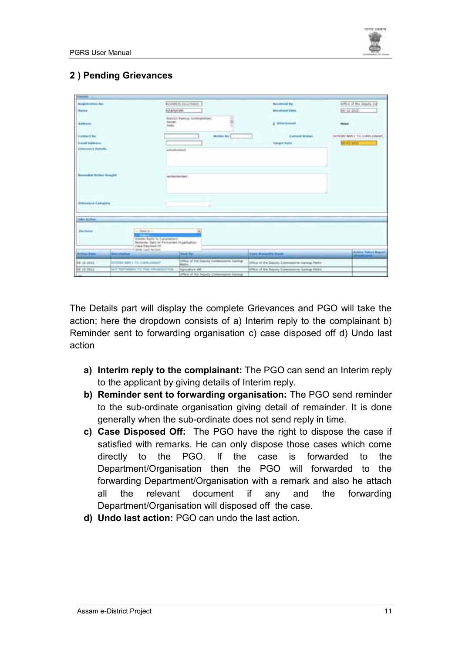

## **2 ) Pending Grievances**

| <b>Bright</b> of allies fact                                                                                           |                                    |                                                                                                                     | ECONOMIC IN LUXURER                                      | <b>Business Ry</b>                                                                                                | EPRIX of the listady 2.0                                                                            |
|------------------------------------------------------------------------------------------------------------------------|------------------------------------|---------------------------------------------------------------------------------------------------------------------|----------------------------------------------------------|-------------------------------------------------------------------------------------------------------------------|-----------------------------------------------------------------------------------------------------|
| <b>Barner</b>                                                                                                          |                                    | <b>h/www/geo</b>                                                                                                    |                                                          | <b>Bacahood Foto:</b>                                                                                             | $29   2-2841$                                                                                       |
| $\sim 15$<br>Arkitecture<br>155<br><b>Expertised No.</b><br><b>Email Address</b><br><b>Engineers</b> Paladis           |                                    | <b>Jidospic</b><br>India<br>$\sim$ 0.00<br>interfereigent                                                           | There's 4 arms, Invitrations'<br>straining days          | <i>&amp; Whathings</i><br>243 10 25 26 27 17<br><b>Elatrant Status</b><br><b>FACCIFIC</b><br><b>Telepot Ikefa</b> | 1000<br><b>CONTRACTOR CONTRACTOR</b><br>increase leater 10 collers release.<br>2010/11/12<br>1.14.1 |
| <b>Compension</b><br><b>Bannedial Action Issualid</b>                                                                  |                                    |                                                                                                                     | <b>CONTRACTOR</b><br><b>CALIFORNIA</b><br>eclecceries    |                                                                                                                   |                                                                                                     |
|                                                                                                                        |                                    |                                                                                                                     |                                                          |                                                                                                                   |                                                                                                     |
|                                                                                                                        |                                    | τ                                                                                                                   |                                                          |                                                                                                                   |                                                                                                     |
| m                                                                                                                      |                                    |                                                                                                                     |                                                          |                                                                                                                   |                                                                                                     |
| <b>Distribution</b>                                                                                                    |                                    | $-12444.5 -$<br>Intraner: Bapty Art Cumpleshare)<br>Rentstehn Darit to Forestried Impartuation<br>Case frequent (S) |                                                          |                                                                                                                   |                                                                                                     |
|                                                                                                                        | <b>Bassilving</b>                  | <b>SMITTAIT ACTAS</b>                                                                                               | Standard Star                                            | <b>Stand Hotmethy Boott</b>                                                                                       |                                                                                                     |
| <b>Enterpress &amp; Eleksgoria</b><br><b><i><u>India Ataliano</u></i></b><br><b>Action System</b><br><b>BE-12-2112</b> | <b>NATURAL RATIO TO CONFUMINAT</b> |                                                                                                                     | UNLe of the transity Commonwell Ashing-<br><b>Martin</b> | Whis of the Second Commissioner Ganeral Parks                                                                     | <b>Autom</b> Teleph Rosen <sup>4</sup>                                                              |

The Details part will display the complete Grievances and PGO will take the action; here the dropdown consists of a) Interim reply to the complainant b) Reminder sent to forwarding organisation c) case disposed off d) Undo last action

- **a) Interim reply to the complainant:** The PGO can send an Interim reply to the applicant by giving details of Interim reply.
- **b) Reminder sent to forwarding organisation:** The PGO send reminder to the sub-ordinate organisation giving detail of remainder. It is done generally when the sub-ordinate does not send reply in time.
- **c) Case Disposed Off:** The PGO have the right to dispose the case if satisfied with remarks. He can only dispose those cases which come directly to the PGO. If the case is forwarded to the Department/Organisation then the PGO will forwarded to the forwarding Department/Organisation with a remark and also he attach all the relevant document if any and the forwarding Department/Organisation will disposed off the case.
- **d) Undo last action:** PGO can undo the last action.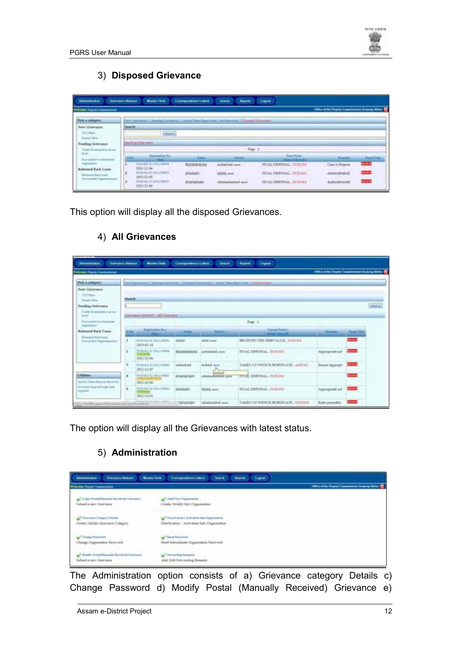

## 3) **Disposed Grievance**

| Wilson's State Commercial                     |                                                                            |                  |                   |                                 | 1954 of the Deputy Commission Execute Street 22 |                   |
|-----------------------------------------------|----------------------------------------------------------------------------|------------------|-------------------|---------------------------------|-------------------------------------------------|-------------------|
| <b>Philippines</b>                            | Antiquiare ( Postal princes) Anni San April Na ( Al Donata ) Donat Daramat |                  |                   |                                 |                                                 |                   |
| <b>Ren Gristand</b>                           | head.                                                                      |                  |                   |                                 |                                                 |                   |
| 2211964                                       | <b>Them</b>                                                                |                  |                   |                                 |                                                 |                   |
| Transit office:                               |                                                                            |                  |                   |                                 |                                                 |                   |
| <b>Feeding Griensiew</b>                      | distribute from with-                                                      |                  |                   |                                 |                                                 |                   |
| Today Processing at the                       |                                                                            |                  | Tags - X          |                                 |                                                 |                   |
| <b>Exercised to admissional</b>               | <b>Reported by File</b>                                                    | <b>Street</b>    | <b>Selected</b>   |                                 | <b>STATE</b>                                    | <b>Stanistics</b> |
|                                               | THE MEANS IS CONSIDERED                                                    | <b>Ballensin</b> | schadad.com       | FELAL DEPORAL: DOMAN            | Care is Dopping                                 |                   |
| <b>Echemond Rack Cases</b>                    | 2012/13 86<br><b>DOOM FORD SHIPS</b><br>×                                  | GRAMMA           | <b>ABOTA more</b> | FINAL DRIPLINAL, CALIFORNIA     | 412010-01-01                                    |                   |
| ned Track tones<br>have adult Papers attended | INLETT.                                                                    |                  |                   |                                 |                                                 |                   |
|                                               | DOMESTIC STATE DRIVEL<br>IRL-1140                                          | Aluklustust      | siskalabet are    | <b>FDOAL DEPORAL</b> , DICATION | <b>B. AlexAK Inc.FM</b>                         | <b>COLOR</b>      |

This option will display all the disposed Grievances.

| <b>Islame Daniel Community</b>                            |                    |                                                                                          |                    |                                      |                                                                     | 1980 of the Deputy Commission Realizy States ( |                  |
|-----------------------------------------------------------|--------------------|------------------------------------------------------------------------------------------|--------------------|--------------------------------------|---------------------------------------------------------------------|------------------------------------------------|------------------|
| <b>Park Adamsons</b>                                      |                    | Territoriana)   Revise Territorial Experimental   Adaptatorial   Adaptatorial   Altimore |                    |                                      |                                                                     |                                                |                  |
| New Grietawa                                              |                    |                                                                                          |                    |                                      |                                                                     |                                                |                  |
| THIRD<br><b>Assessment College</b>                        | <b>Statistic</b>   |                                                                                          |                    |                                      |                                                                     |                                                |                  |
| <b>Fonding Grimmen</b>                                    |                    |                                                                                          |                    |                                      |                                                                     |                                                | <b>John B.</b>   |
| Liste Examples area.                                      |                    |                                                                                          |                    |                                      |                                                                     |                                                |                  |
| bear.<br>Farrowing's retirations                          |                    | Impose Africa, L.A. Crainano                                                             |                    |                                      | Tue 1                                                               |                                                |                  |
| <b><i>Inglessman</i></b>                                  |                    |                                                                                          |                    |                                      | a homina in                                                         |                                                |                  |
| <b>Robertown Rack Cases</b>                               |                    | <b>Registration RAV</b>                                                                  | $\overline{ }$     | and a second by Stationer            | <b>Exposed Manuel</b><br><b>Kalling Was purely</b>                  | <b>Romado Lucci (Stephone</b>                  |                  |
| <b>Britannie Fack Issue</b><br><b>Provided Department</b> |                    | De Brutia & Child (1980)<br>300342.44                                                    | AAAA               | debt men 1                           | BECOME THE GRIVANCE, DICELES                                        |                                                | ---              |
|                                                           | <br>÷              | DUMAN, K. Ship Arrest<br>30111106                                                        | <b>Biskulabasi</b> | solidad acco                         | FDGGL EMPCRAL, DCADOA<br>164241167                                  | Appropriate a/t<br><b>COMBIN</b>               | --               |
|                                                           | ٠                  | THE DISCRIPTION OF THE AMERICAN<br>3835145                                               | tachedrad          | assistant more.<br><b>No</b>         | TAKIN'LY MYS 9L'MORDINASE, AGENCY                                   | <b>Source Argenter</b>                         | ᆓ                |
| <b>Littletown</b><br>Jertan Talen Rowitz Rearner          | ٠                  | behinderd concerned<br>3mb 1-2.5 Ala                                                     | Ahendrich          | <b>Greenway</b><br>statiadattat late | THE R. DEPOSAL, INCLUDE                                             |                                                | <b>September</b> |
| Credie Casestificant pay.<br><b>Ingeniet</b>              | ×                  | Dealer & Secretary<br>DHEL-43-4H                                                         | Ahkihalit.         | <b>NAMA</b> aver                     | <b>FEGAL EMPORAL</b> , DOMINI<br><b>Charles Light Concern Print</b> | <b>Pue atenquegui</b>                          | . .              |
| <b>COMMAND</b>                                            | <b>CALCULATION</b> | <b>Scientist</b>                                                                         | Tekilolofiziki     | idiadasind.com                       | TAKEN CP WITH HUIGRODGATE, DCESAR                                   | <b>Rulet peoplish</b>                          | <b>COLOR</b>     |

## 4) **All Grievances**

The option will display all the Grievances with latest status.

## 5) **Administration**

| <b>Selected a Stational</b><br><b>Highlan</b>                    | <b>Burn link</b><br>Competition Differs<br>isanë<br><b>Search</b><br>ikarak               |                                           |
|------------------------------------------------------------------|-------------------------------------------------------------------------------------------|-------------------------------------------|
| Makerman Stephen Commercial                                      |                                                                                           | <b>This d'in Done Liamman Long New 18</b> |
| also freestlinessis kanned framewor<br>Infant a say Domassa      |                                                                                           |                                           |
| moses of this party filled<br>atto Udodži r Ginecano i Calegren  | Staustration, Authorize bod Digestration<br>Dearforation / Activation hall: Virginiantism |                                           |
| U <sup>P</sup> Change Planness &<br>Charge Departments Passivand | <b>South Farmers</b><br>Sent Salesbiak Organization Faceroal                              |                                           |
| Modiff FoundAlamatik Received Governor<br>fabel a ver Granese    | <b>Jacquing Emades</b><br><b>Contract Card</b><br>add 'Edit Ferranting Remarks'           |                                           |

The Administration option consists of a) Grievance category Details c) Change Password d) Modify Postal (Manually Received) Grievance e)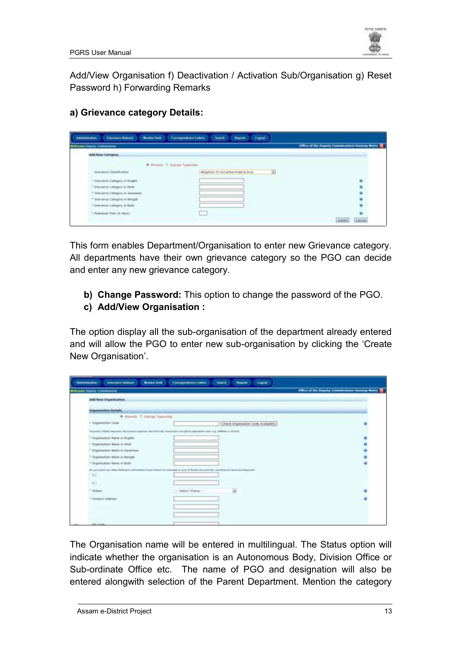Add/View Organisation f) Deactivation / Activation Sub/Organisation g) Reset Password h) Forwarding Remarks

#### **a) Grievance category Details:**

| <b>Johnson's Holtzail</b><br><b>Bureau link</b><br>--     | <b>Competition Different</b><br><b>Search</b><br><b>Transit</b><br><b>Buyerit</b> |                                                         |
|-----------------------------------------------------------|-----------------------------------------------------------------------------------|---------------------------------------------------------|
| as Iluzola Communess                                      |                                                                                   | <b>Editor of the Engely Commissions Kenning Motor (</b> |
| Add New Catagony.                                         |                                                                                   |                                                         |
| W.<br>A However IT dramat Typecomer                       |                                                                                   |                                                         |
| Automaker and the first<br><b>Grisvelos Cresification</b> | 2012/01/12<br>Hearten of consistent makes to be<br>в                              |                                                         |
| domestical Eshkalyte to Bradleh.                          |                                                                                   |                                                         |
| Solicited Company in                                      |                                                                                   | ŧ.                                                      |
| <b>Slavence Category in Association</b>                   |                                                                                   |                                                         |
| Stevence Celegary in Bergos                               |                                                                                   |                                                         |
| Gravevill Lettury in Boltz                                |                                                                                   | Ì                                                       |
| Seakond Time (in days)                                    | È                                                                                 |                                                         |
|                                                           |                                                                                   | Limited                                                 |

This form enables Department/Organisation to enter new Grievance category. All departments have their own grievance category so the PGO can decide and enter any new grievance category.

**b) Change Password:** This option to change the password of the PGO.

#### **c) Add/View Organisation :**

The option display all the sub-organisation of the department already entered and will allow the PGO to enter new sub-organisation by clicking the 'Create New Organisation'.

| Michigan Davis Combined                                                                                                                                         |                  |                                                 | (the of the Impuly Commission Summy Bokes) |
|-----------------------------------------------------------------------------------------------------------------------------------------------------------------|------------------|-------------------------------------------------|--------------------------------------------|
| AAA New Departments.                                                                                                                                            |                  |                                                 |                                            |
| <b>Urganisation Include</b>                                                                                                                                     |                  |                                                 |                                            |
| 4 Howils O kinnet haven't                                                                                                                                       |                  |                                                 |                                            |
| - Drawmarkin Links                                                                                                                                              |                  | Class Trummon Cole Autobioty<br>The Late of the |                                            |
| (Fourth) 1 Martin Moscowic characters experient that find they decreased direct by appointing city, t.g. (MRMA or Ministr.)<br>7 Dripertosium Ruine in English. |                  |                                                 |                                            |
| T Drawbatton Raina in rend                                                                                                                                      |                  |                                                 | ٠                                          |
| 7 Drawnsalow Romé in Ascenses                                                                                                                                   |                  |                                                 |                                            |
| <sup>1</sup> Dripersystem bains in Bengal                                                                                                                       |                  |                                                 |                                            |
| <sup>1</sup> Driparts plans Rains in Bodo                                                                                                                       |                  |                                                 |                                            |
| We put look and other followed allowable from Minut for example is seen at Books bound We and Brand news are thoughted                                          |                  |                                                 |                                            |
| 11.                                                                                                                                                             |                  |                                                 |                                            |
| 4.7                                                                                                                                                             |                  |                                                 |                                            |
| <sup>1</sup> 3546ab                                                                                                                                             | Date of Status - | R                                               |                                            |
| <sup>7</sup> Contract Address                                                                                                                                   |                  |                                                 |                                            |
|                                                                                                                                                                 |                  |                                                 |                                            |

The Organisation name will be entered in multilingual. The Status option will indicate whether the organisation is an Autonomous Body, Division Office or Sub-ordinate Office etc. The name of PGO and designation will also be entered alongwith selection of the Parent Department. Mention the category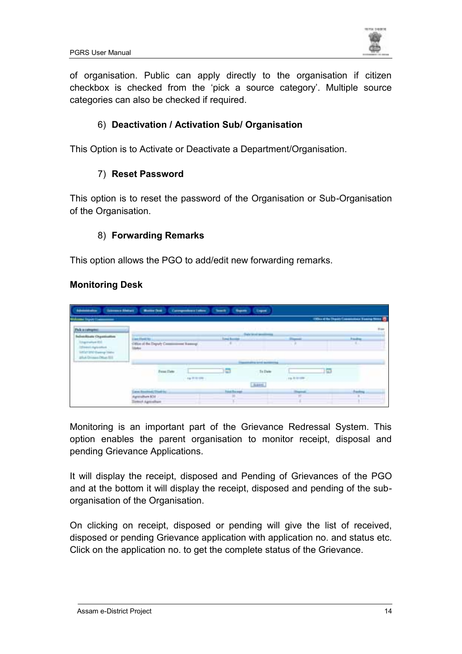

of organisation. Public can apply directly to the organisation if citizen checkbox is checked from the 'pick a source category'. Multiple source categories can also be checked if required.

## 6) **Deactivation / Activation Sub/ Organisation**

This Option is to Activate or Deactivate a Department/Organisation.

#### 7) **Reset Password**

This option is to reset the password of the Organisation or Sub-Organisation of the Organisation.

#### 8) **Forwarding Remarks**

This option allows the PGO to add/edit new forwarding remarks.

#### **Monitoring Desk**

| Welcome Highly Transmission                                                                 |                                                                   |                                                                                |                  | <b>This of the Transfer Commissions Searce Ninte Co.</b> |
|---------------------------------------------------------------------------------------------|-------------------------------------------------------------------|--------------------------------------------------------------------------------|------------------|----------------------------------------------------------|
| <b>Pak a categorie</b>                                                                      |                                                                   |                                                                                |                  | <b>Trust</b>                                             |
| <b>Betchlook</b> Chambellen<br>Little's MOT Express Islater<br>AND ALCOHOL: UNL AND ALCOHOL | Law David Av<br>Office of the Deputy Commissioner Ramong<br>Holen | Date would are<br><b>South</b><br><b><i><u>Incometry with accounts</u></i></b> | <b>Disposit</b>  | <b><i><u>Frankline</u></i></b>                           |
|                                                                                             | From Date                                                         | m<br>- Su Dale                                                                 |                  | 10                                                       |
|                                                                                             |                                                                   |                                                                                |                  |                                                          |
|                                                                                             | <b>Los Ritires</b>                                                |                                                                                | <b>TO RIGHTS</b> |                                                          |
|                                                                                             |                                                                   | Assn.                                                                          |                  |                                                          |
|                                                                                             | and financial Heat is .<br><b>Ice nullers</b>                     | <b>Translation and</b>                                                         | <b>Distances</b> | <b>Banking</b>                                           |

Monitoring is an important part of the Grievance Redressal System. This option enables the parent organisation to monitor receipt, disposal and pending Grievance Applications.

It will display the receipt, disposed and Pending of Grievances of the PGO and at the bottom it will display the receipt, disposed and pending of the sub organisation of the Organisation.

On clicking on receipt, disposed or pending will give the list of received, disposed or pending Grievance application with application no. and status etc. Click on the application no. to get the complete status of the Grievance.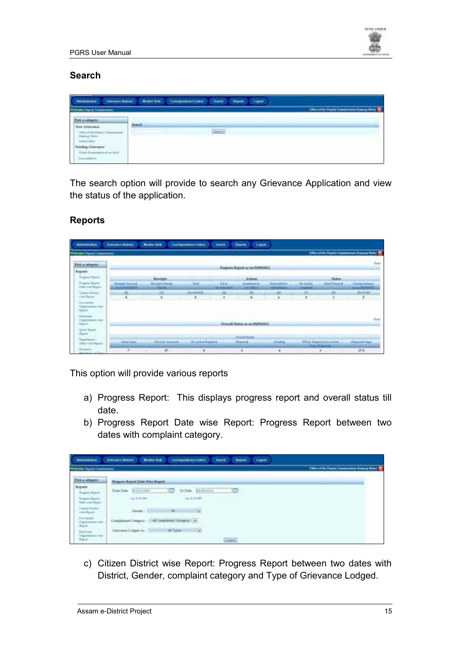

#### **Search**

| L<br><b>Administration</b><br>Greenway demand | <b>Buss less</b><br><b>Barnet</b><br>Companies Labor.<br><b>Search</b> | $\mathbf{L}$                                             |
|-----------------------------------------------|------------------------------------------------------------------------|----------------------------------------------------------|
| and Deposit Commercial                        |                                                                        | <b>Silver of the Stage's Commissions Reserve Three O</b> |
| Michael Court Street<br><b>Discountied II</b> | <b>Service</b><br><b>Bandy</b>                                         |                                                          |

The search option will provide to search any Grievance Application and view the status of the application.

#### **Reports**

| <b>Fish a category</b><br>Programs Bagnet an ina Philippine L.<br><b>Reports</b><br><b>ALMOST PRODUCT</b><br><b>Basebut</b><br>Actions<br><b>Representative</b><br><b>But deliver</b><br>Analyti Darry<br><b><i><u>Standard of</u></i></b><br><b>Inches</b><br><b>SAN</b><br>da Esconad<br><b>Taucher Bilder</b><br>between the Burguest<br><b>State College Avenue</b><br>- -<br>42<br><b>ANGHE</b><br>s<br><b>Summit District</b><br>×<br>ras Taped<br>×<br>٠<br>٠<br>$\frac{1}{2}$<br>٠<br><b>Concert State</b> | <b><i><u>Hubun</u></i></b><br><b>Free Clive</b> | <b>Clering Indiana</b><br><b>JENDHAL</b><br>$\mathbf{B}$ |
|--------------------------------------------------------------------------------------------------------------------------------------------------------------------------------------------------------------------------------------------------------------------------------------------------------------------------------------------------------------------------------------------------------------------------------------------------------------------------------------------------------------------|-------------------------------------------------|----------------------------------------------------------|
|                                                                                                                                                                                                                                                                                                                                                                                                                                                                                                                    |                                                 |                                                          |
|                                                                                                                                                                                                                                                                                                                                                                                                                                                                                                                    |                                                 |                                                          |
|                                                                                                                                                                                                                                                                                                                                                                                                                                                                                                                    |                                                 |                                                          |
|                                                                                                                                                                                                                                                                                                                                                                                                                                                                                                                    |                                                 |                                                          |
|                                                                                                                                                                                                                                                                                                                                                                                                                                                                                                                    |                                                 |                                                          |
|                                                                                                                                                                                                                                                                                                                                                                                                                                                                                                                    |                                                 |                                                          |
|                                                                                                                                                                                                                                                                                                                                                                                                                                                                                                                    |                                                 |                                                          |
|                                                                                                                                                                                                                                                                                                                                                                                                                                                                                                                    |                                                 |                                                          |
|                                                                                                                                                                                                                                                                                                                                                                                                                                                                                                                    |                                                 |                                                          |
| Cheedi Matto as an PhPS2211                                                                                                                                                                                                                                                                                                                                                                                                                                                                                        |                                                 |                                                          |
| <b>The Company of Company</b><br>$\frac{1}{\log n}$                                                                                                                                                                                                                                                                                                                                                                                                                                                                |                                                 |                                                          |
| <b>Small</b> have                                                                                                                                                                                                                                                                                                                                                                                                                                                                                                  |                                                 |                                                          |
| <b>Tap is family</b><br><b>345</b> At Fit Store<br><b>Richard Fourtest</b><br>ETRAL Channel Pro Action<br><b>Flugment</b><br><b>Electric Classes</b><br><b>The Fits</b><br>-<br><b>Burn a true Blogwatt</b><br><b>Reachforward</b>                                                                                                                                                                                                                                                                                 |                                                 | <b><i>STRAPHONE TOWART</i></b>                           |

This option will provide various reports

- a) Progress Report: This displays progress report and overall status till date.
- b) Progress Report Date wise Report: Progress Report between two dates with complaint category.



c) Citizen District wise Report: Progress Report between two dates with District, Gender, complaint category and Type of Grievance Lodged.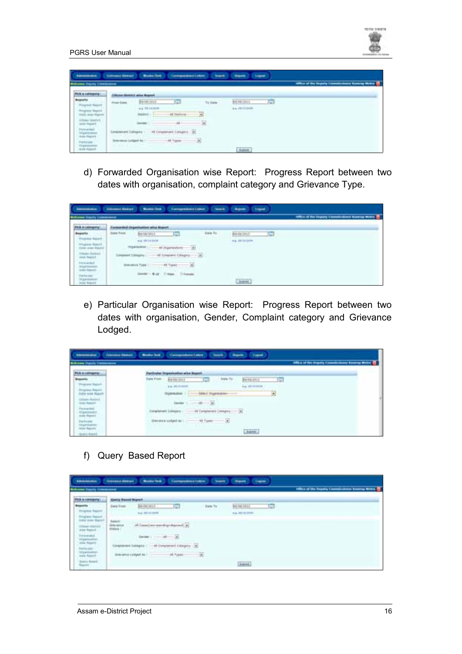

| <b>Darry Commence</b>                                                                                                   | Librosect American<br>Minimum Chrysler<br><b>Communication Collect</b><br><b>Index of</b>                                                                                                                                                                                                   | <b>Literat</b><br>talks of the logary (passessions) known Melro                                                                                          |
|-------------------------------------------------------------------------------------------------------------------------|---------------------------------------------------------------------------------------------------------------------------------------------------------------------------------------------------------------------------------------------------------------------------------------------|----------------------------------------------------------------------------------------------------------------------------------------------------------|
| <b>CONTRACTOR</b><br><b>Farmington</b><br><b>Pursuance</b> 1<br>which finance<br>Particular<br>Degaminan<br>sola Rassor | Miran Shielch also Koppel<br><b>Bene</b> (443)<br>ture.<br>on Gate<br>44 75 10 20 9<br><b>E</b> Thomas 18<br>----<br>- 21<br>$48 -$<br>4 Employee Edinger<br>w<br>programmatic Calleger<br>m<br>1144 France<br><b>Statement Lockard AL</b><br>the control of the process.<br><b>ARADIST</b> | <b>The Company's Company's Company's</b><br>the company's company's<br>the control of the control of the con-<br>洞<br>04/06/2013<br>11.1011110<br>Agent. |

d) Forwarded Organisation wise Report: Progress Report between two dates with organisation, complaint category and Grievance Type.

| r<br>---                                                                             | <b>Masket Desk</b><br><b>Turnspointed Labor</b><br><b>Silenson's Boston's</b><br><b>Seattle</b>                                                                     | <b>Street</b><br>-                                                                            |                                                              |
|--------------------------------------------------------------------------------------|---------------------------------------------------------------------------------------------------------------------------------------------------------------------|-----------------------------------------------------------------------------------------------|--------------------------------------------------------------|
| <b>Sandy Company</b>                                                                 |                                                                                                                                                                     |                                                                                               | <b><i>Uffice of the toyoty transmissions homes Motre</i></b> |
| <b>Ringsofts</b><br><b><i>Carlos Bride, Research</i></b><br><b>SHAM!</b><br>$25 - 7$ | <b>Call Tor</b><br><b>BANADIES</b><br><b>Inc.</b><br><br>ALC INVISION<br>÷<br>- ad Stewarter Calvanny<br>$-1.41$<br>All Tigates<br>Senior   Aug., 17 Park   Threats | <b>PATH 2715</b><br><b>San Francis</b><br>. <i>.</i><br><b>As relation</b><br><b>PERSONAL</b> | $\frac{1}{2}$<br><b>CONTRACTOR</b>                           |
| Particular<br>Magnesium<br>Magnesium                                                 |                                                                                                                                                                     | Submitt,                                                                                      |                                                              |

e) Particular Organisation wise Report: Progress Report between two dates with organisation, Gender, Complaint category and Grievance Lodged.

| <b>Television Matters</b><br><b><i><u>POSTER</u></i></b> | <b>Montre lives</b><br>Communication Laters<br><b>Classe</b><br>Search.<br><b>Bank</b> |
|----------------------------------------------------------|----------------------------------------------------------------------------------------|
| <b>Millionee Dately Commencer</b>                        | office of the bearing Consentrations Surveys Motor 15                                  |
| <b>PER A LIFE SETT</b>                                   | <b>Suite Engelselin arts Board</b>                                                     |
| <b>Brokers</b> Fa.                                       | 153<br>Sale Ty<br><b>Dalla il Vient</b><br><b>BARKMALL</b><br>œ<br>8410-2111           |
|                                                          | <b>ALL ARTISTICS</b><br>a a Janisland                                                  |
| leggrass Angerik.<br>Wie misk Risport                    | <b>Dear Organizer</b><br>Drammer.                                                      |
|                                                          |                                                                                        |
|                                                          | $1 - 4 - 1$<br><b>Garrison</b>                                                         |
|                                                          | 48 Dynamient Chingren<br>manament Labeauty<br>$-10$                                    |
| tachinder<br>Vyamiution<br>Ven Report                    | $-$ - 60 T page<br>freezes colpid as a<br>$-10$<br>91 S.H                              |
| <b>Daily Rayer</b>                                       | <b>Baker</b>                                                                           |

f) Query Based Report

|                                    | <b>General Antonio</b><br><b>Books Text</b><br><b>Separate</b><br><b>Search</b><br>Conveymenting a College<br><b>Trum</b>               |                                                    |
|------------------------------------|-----------------------------------------------------------------------------------------------------------------------------------------|----------------------------------------------------|
| <b>Educate Suite Companies</b>     |                                                                                                                                         | tifics of the Deputy Commissions Resurse Motor (S) |
| <b>Bismington's</b>                | Gianty Reset Beant                                                                                                                      |                                                    |
| <b>Beaucoffs</b><br><b>GENERAL</b> | $\blacksquare$<br>c<br><b>BA-9410013</b><br>Sale To:<br><b>EN 99:30LE</b><br><b>Sala Stan</b><br><b>ALIMITING</b><br><b>PE BEISTERN</b> |                                                    |
| space Tagan<br><b>CONTRACTOR</b>   | <b>Trailer I</b><br>Al Centro and at Automa (a)<br>Selections                                                                           |                                                    |
|                                    | $-1.7$<br><b>A</b><br><b>Signal College</b><br>$-24$<br>Composerunt Chinger                                                             |                                                    |
| EC.                                | All Tuesda<br>×<br>vehicle 3 produced. Aud<br>.                                                                                         |                                                    |
| <b>Support</b>                     | (have)                                                                                                                                  |                                                    |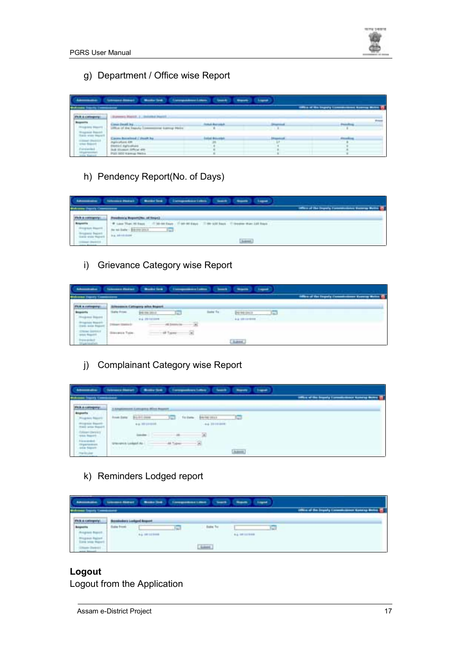

g) Department / Office wise Report

|                                                                                                                                                                                                                                      |                              | <b>U. Adams</b> |                                         |
|--------------------------------------------------------------------------------------------------------------------------------------------------------------------------------------------------------------------------------------|------------------------------|-----------------|-----------------------------------------|
| <b>Channel Card</b>                                                                                                                                                                                                                  | ---                          |                 | 1970 a of the Imputy Lowesterman Normal |
|                                                                                                                                                                                                                                      |                              |                 | <b>CONTRACTOR</b> CONTRACTOR CONTRACTOR |
|                                                                                                                                                                                                                                      |                              |                 |                                         |
|                                                                                                                                                                                                                                      |                              |                 |                                         |
|                                                                                                                                                                                                                                      |                              |                 | -                                       |
| <b>The Contract of the Contract of the Contract of the Contract of the Contract of the Contract of the Contract of the Contract of the Contract of The Contract of The Contract of The Contract of The Contract of The Contract </b> |                              |                 |                                         |
| <b>College College</b>                                                                                                                                                                                                               | DOO' 9 Armsay Predict<br>PGO |                 |                                         |

## h) Pendency Report(No. of Days)

|                               | (Dennes (Generalis) (Solida) (Departmental) (Sain) (Spa) (Spa) |                                                                                                                    |
|-------------------------------|----------------------------------------------------------------|--------------------------------------------------------------------------------------------------------------------|
| Molecome Deputy Commissioners |                                                                | <b>Informal the Deputy Forestanding Survey Botto 21</b><br>and a result in the first transfer and companies and it |
|                               | <b>Postman &amp; August Dec of Harpy</b>                       |                                                                                                                    |
| <b>Brigadore</b>              | W Loss Viser of Saxs<br>Mr 107 Sect. - C Greene War 117 Sect.  |                                                                                                                    |
|                               | As ad baby : \$4000 pretty                                     |                                                                                                                    |
| <b>Lank shape Right</b>       | <b>ba abidider</b><br><b>Avenue</b>                            |                                                                                                                    |
| adverted the company          |                                                                |                                                                                                                    |

## i) Grievance Category wise Report

|                              |     | Absorption Chineses Status 1 [ Book See ] [ Chineseston Lines ] [ Count ] [ Chinese ] [ Loyer ] |                  |                                             |                                                       |  |
|------------------------------|-----|-------------------------------------------------------------------------------------------------|------------------|---------------------------------------------|-------------------------------------------------------|--|
| <b>Common Engineers</b> from | --- |                                                                                                 |                  |                                             | <b>Inflate of the Impuly Commissioner Economy No.</b> |  |
|                              |     |                                                                                                 |                  |                                             | .                                                     |  |
|                              |     | PE ON 2011<br>wa phrastore                                                                      | <b>Audio Ref</b> | Dealer (1941)<br>$-144$<br>$-44.09$ company |                                                       |  |
|                              |     |                                                                                                 |                  |                                             |                                                       |  |
|                              |     |                                                                                                 |                  |                                             |                                                       |  |
|                              |     | <b>Committee State of Street East</b>                                                           |                  |                                             |                                                       |  |

j) Complainant Category wise Report

| Ľ<br>--                      | <b>Channel</b><br><b>Television Manuel</b><br><b>Boston State</b><br><b>Search</b><br><b>Branch</b><br>advance institute |                                                            |
|------------------------------|--------------------------------------------------------------------------------------------------------------------------|------------------------------------------------------------|
| <b>Channels</b> Commissioner | ---                                                                                                                      | <b>SPEca of the Import of commitments Kenning Box</b><br>— |
|                              | <b>PERCISS</b><br><b>Barnerman</b><br>۵<br>For Alberta<br><b>Latin</b><br>44 0010318<br>ea minimit.                      |                                                            |
| <b>Sello Joe</b>             | AR TUG<br><b>Contractor</b><br>21<br>Automit.                                                                            |                                                            |

k) Reminders Lodged report

| $\sim$                      |                     |                |             | Claimers Rider, C. Mode Doll, Chevrolettes Libert, C. Sept. C. Significant, C. Logic |                 |     |                                               |
|-----------------------------|---------------------|----------------|-------------|--------------------------------------------------------------------------------------|-----------------|-----|-----------------------------------------------|
| Michigan Deputy Commissions |                     |                |             |                                                                                      |                 |     | colors of the Engage Commitment Contract Body |
|                             |                     |                |             |                                                                                      |                 |     |                                               |
| <b>Boycota</b>              | <b>Balley Front</b> |                | <b>Fact</b> | <b>Ballie</b> Tol                                                                    |                 | 742 |                                               |
|                             |                     | ALL DE SERVICE |             |                                                                                      | 4-4 000 000 000 |     |                                               |
|                             |                     |                |             |                                                                                      |                 |     |                                               |
|                             |                     |                |             | Antenna                                                                              |                 |     |                                               |

## **Logout**

Logout from the Application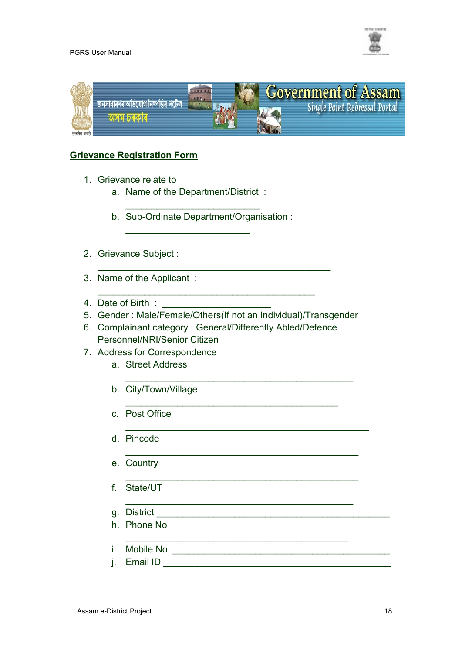



### **Grievance Registration Form**

- 1. Grievance relate to
	- a. Name of the Department/District :
	- b. Sub-Ordinate Department/Organisation :  $\frac{1}{2}$  ,  $\frac{1}{2}$  ,  $\frac{1}{2}$  ,  $\frac{1}{2}$  ,  $\frac{1}{2}$  ,  $\frac{1}{2}$  ,  $\frac{1}{2}$  ,  $\frac{1}{2}$  ,  $\frac{1}{2}$  ,  $\frac{1}{2}$  ,  $\frac{1}{2}$  ,  $\frac{1}{2}$  ,  $\frac{1}{2}$  ,  $\frac{1}{2}$  ,  $\frac{1}{2}$  ,  $\frac{1}{2}$  ,  $\frac{1}{2}$  ,  $\frac{1}{2}$  ,  $\frac{1$

 $\overline{\phantom{a}}$  , where  $\overline{\phantom{a}}$  , where  $\overline{\phantom{a}}$  , where  $\overline{\phantom{a}}$  , where  $\overline{\phantom{a}}$ 

- 2. Grievance Subject :
- 3. Name of the Applicant :
- 4. Date of Birth :
- 5. Gender : Male/Female/Others(If not an Individual)/Transgender

\_\_\_\_\_\_\_\_\_\_\_\_\_\_\_\_\_\_\_\_\_\_\_\_\_\_\_\_\_\_\_\_\_\_\_\_\_\_\_\_\_\_

 $\overline{\phantom{a}}$  , where the contribution of the contribution of  $\overline{\phantom{a}}$  ,  $\overline{\phantom{a}}$ 

 $\overline{\phantom{a}}$  , and the contract of the contract of the contract of the contract of the contract of the contract of the contract of the contract of the contract of the contract of the contract of the contract of the contrac

 $\overline{\phantom{a}}$  , and the contract of the contract of the contract of the contract of the contract of the contract of the contract of the contract of the contract of the contract of the contract of the contract of the contrac

\_\_\_\_\_\_\_\_\_\_\_\_\_\_\_\_\_\_\_\_\_\_\_\_\_\_\_\_\_\_\_\_\_\_\_\_\_\_\_\_\_\_\_\_\_

 $\overline{\phantom{a}}$  , and the contract of the contract of the contract of the contract of the contract of the contract of the contract of the contract of the contract of the contract of the contract of the contract of the contrac

\_\_\_\_\_\_\_\_\_\_\_\_\_\_\_\_\_\_\_\_\_\_\_\_\_\_\_\_\_\_\_\_\_\_\_\_\_\_\_\_\_\_\_\_

\_\_\_\_\_\_\_\_\_\_\_\_\_\_\_\_\_\_\_\_\_\_\_\_\_\_\_\_\_\_\_\_\_\_\_\_\_\_\_\_\_\_\_

 $\overline{\phantom{a}}$  , and the contract of the contract of the contract of the contract of the contract of the contract of the contract of the contract of the contract of the contract of the contract of the contract of the contrac

- 6. Complainant category : General/Differently Abled/Defence Personnel/NRI/Senior Citizen
- 7. Address for Correspondence
	- a. Street Address
	- b. City/Town/Village
	- c. Post Office
	- d. Pincode
	- e. Country
	- f. State/UT
	- g. District
	- h. Phone No
	- i. Mobile No. \_\_\_\_\_\_\_\_\_\_\_\_\_\_\_\_\_\_\_\_\_\_\_\_\_\_\_\_\_\_\_\_\_\_\_\_\_\_\_\_\_\_
	- $j.$  Email ID  $j.$  Email ID  $j.$